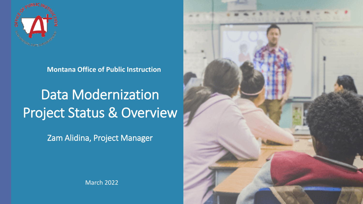

**Montana Office of Public Instruction** 

# Data Modernization Project Status & Overview

Zam Alidina, Project Manager



March 2022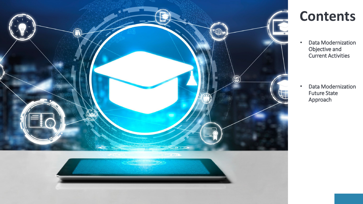

## **Contents**

• Data Modernization Objective and Current Activities

• Data Modernization Future State Approach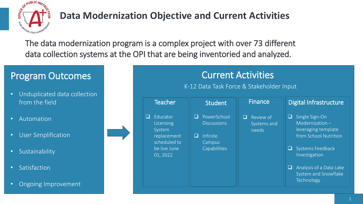

### **Data Modernization Objective and Current Activities**

The data modernization program is a complex project with over 73 different data collection systems at the OPI that are being inventoried and analyzed.

#### Program Outcomes

- Unduplicated data collection from the field
- Automation
- User Simplification
- Sustainability
- Satisfaction
- Ongoing Improvement